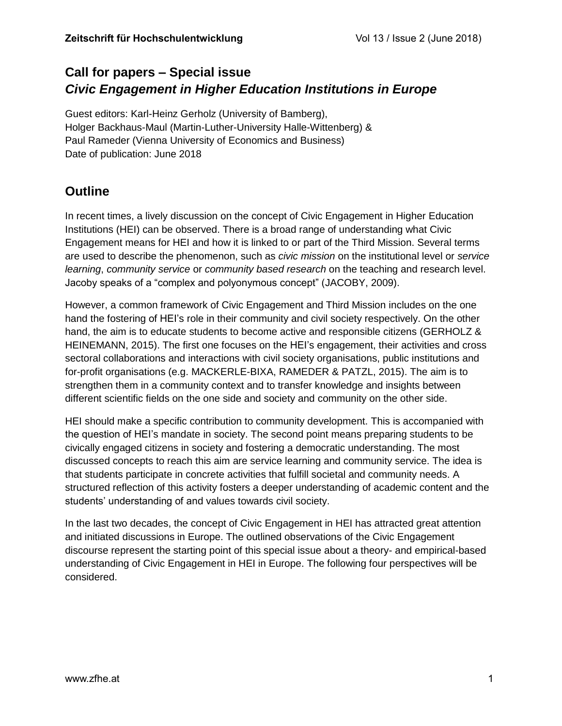# **Call for papers – Special issue** *Civic Engagement in Higher Education Institutions in Europe*

Guest editors: Karl-Heinz Gerholz (University of Bamberg), Holger Backhaus-Maul (Martin-Luther-University Halle-Wittenberg) & Paul Rameder (Vienna University of Economics and Business) Date of publication: June 2018

# **Outline**

In recent times, a lively discussion on the concept of Civic Engagement in Higher Education Institutions (HEI) can be observed. There is a broad range of understanding what Civic Engagement means for HEI and how it is linked to or part of the Third Mission. Several terms are used to describe the phenomenon, such as *civic mission* on the institutional level or *service learning*, *community service* or *community based research* on the teaching and research level. Jacoby speaks of a "complex and polyonymous concept" (JACOBY, 2009).

However, a common framework of Civic Engagement and Third Mission includes on the one hand the fostering of HEI's role in their community and civil society respectively. On the other hand, the aim is to educate students to become active and responsible citizens (GERHOLZ & HEINEMANN, 2015). The first one focuses on the HEI's engagement, their activities and cross sectoral collaborations and interactions with civil society organisations, public institutions and for-profit organisations (e.g. MACKERLE-BIXA, RAMEDER & PATZL, 2015). The aim is to strengthen them in a community context and to transfer knowledge and insights between different scientific fields on the one side and society and community on the other side.

HEI should make a specific contribution to community development. This is accompanied with the question of HEI's mandate in society. The second point means preparing students to be civically engaged citizens in society and fostering a democratic understanding. The most discussed concepts to reach this aim are service learning and community service. The idea is that students participate in concrete activities that fulfill societal and community needs. A structured reflection of this activity fosters a deeper understanding of academic content and the students' understanding of and values towards civil society.

In the last two decades, the concept of Civic Engagement in HEI has attracted great attention and initiated discussions in Europe. The outlined observations of the Civic Engagement discourse represent the starting point of this special issue about a theory- and empirical-based understanding of Civic Engagement in HEI in Europe. The following four perspectives will be considered.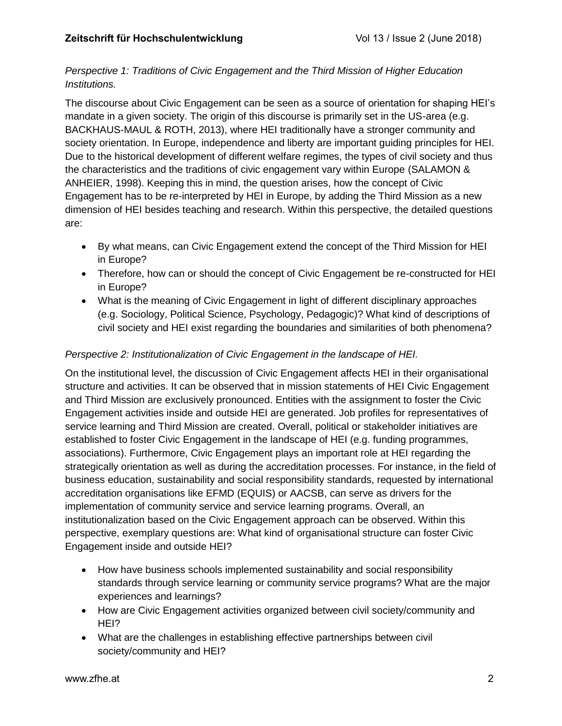### *Perspective 1: Traditions of Civic Engagement and the Third Mission of Higher Education Institutions.*

The discourse about Civic Engagement can be seen as a source of orientation for shaping HEI's mandate in a given society. The origin of this discourse is primarily set in the US-area (e.g. BACKHAUS-MAUL & ROTH, 2013), where HEI traditionally have a stronger community and society orientation. In Europe, independence and liberty are important guiding principles for HEI. Due to the historical development of different welfare regimes, the types of civil society and thus the characteristics and the traditions of civic engagement vary within Europe (SALAMON & ANHEIER, 1998). Keeping this in mind, the question arises, how the concept of Civic Engagement has to be re-interpreted by HEI in Europe, by adding the Third Mission as a new dimension of HEI besides teaching and research. Within this perspective, the detailed questions are:

- By what means, can Civic Engagement extend the concept of the Third Mission for HEI in Europe?
- Therefore, how can or should the concept of Civic Engagement be re-constructed for HEI in Europe?
- What is the meaning of Civic Engagement in light of different disciplinary approaches (e.g. Sociology, Political Science, Psychology, Pedagogic)? What kind of descriptions of civil society and HEI exist regarding the boundaries and similarities of both phenomena?

## *Perspective 2: Institutionalization of Civic Engagement in the landscape of HEI.*

On the institutional level, the discussion of Civic Engagement affects HEI in their organisational structure and activities. It can be observed that in mission statements of HEI Civic Engagement and Third Mission are exclusively pronounced. Entities with the assignment to foster the Civic Engagement activities inside and outside HEI are generated. Job profiles for representatives of service learning and Third Mission are created. Overall, political or stakeholder initiatives are established to foster Civic Engagement in the landscape of HEI (e.g. funding programmes, associations). Furthermore, Civic Engagement plays an important role at HEI regarding the strategically orientation as well as during the accreditation processes. For instance, in the field of business education, sustainability and social responsibility standards, requested by international accreditation organisations like EFMD (EQUIS) or AACSB, can serve as drivers for the implementation of community service and service learning programs. Overall, an institutionalization based on the Civic Engagement approach can be observed. Within this perspective, exemplary questions are: What kind of organisational structure can foster Civic Engagement inside and outside HEI?

- How have business schools implemented sustainability and social responsibility standards through service learning or community service programs? What are the major experiences and learnings?
- How are Civic Engagement activities organized between civil society/community and HEI?
- What are the challenges in establishing effective partnerships between civil society/community and HEI?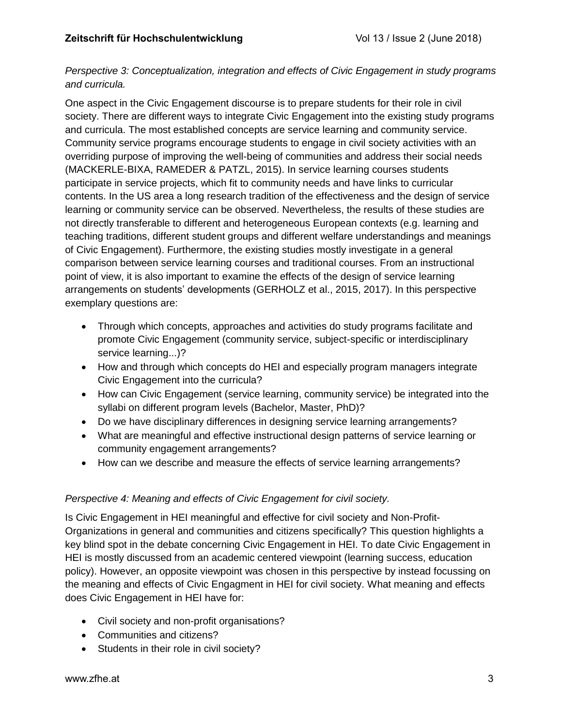### *Perspective 3: Conceptualization, integration and effects of Civic Engagement in study programs and curricula.*

One aspect in the Civic Engagement discourse is to prepare students for their role in civil society. There are different ways to integrate Civic Engagement into the existing study programs and curricula. The most established concepts are service learning and community service. Community service programs encourage students to engage in civil society activities with an overriding purpose of improving the well-being of communities and address their social needs (MACKERLE-BIXA, RAMEDER & PATZL, 2015). In service learning courses students participate in service projects, which fit to community needs and have links to curricular contents. In the US area a long research tradition of the effectiveness and the design of service learning or community service can be observed. Nevertheless, the results of these studies are not directly transferable to different and heterogeneous European contexts (e.g. learning and teaching traditions, different student groups and different welfare understandings and meanings of Civic Engagement). Furthermore, the existing studies mostly investigate in a general comparison between service learning courses and traditional courses. From an instructional point of view, it is also important to examine the effects of the design of service learning arrangements on students' developments (GERHOLZ et al., 2015, 2017). In this perspective exemplary questions are:

- Through which concepts, approaches and activities do study programs facilitate and promote Civic Engagement (community service, subject-specific or interdisciplinary service learning...)?
- How and through which concepts do HEI and especially program managers integrate Civic Engagement into the curricula?
- How can Civic Engagement (service learning, community service) be integrated into the syllabi on different program levels (Bachelor, Master, PhD)?
- Do we have disciplinary differences in designing service learning arrangements?
- What are meaningful and effective instructional design patterns of service learning or community engagement arrangements?
- How can we describe and measure the effects of service learning arrangements?

## *Perspective 4: Meaning and effects of Civic Engagement for civil society.*

Is Civic Engagement in HEI meaningful and effective for civil society and Non-Profit-Organizations in general and communities and citizens specifically? This question highlights a key blind spot in the debate concerning Civic Engagement in HEI. To date Civic Engagement in HEI is mostly discussed from an academic centered viewpoint (learning success, education policy). However, an opposite viewpoint was chosen in this perspective by instead focussing on the meaning and effects of Civic Engagment in HEI for civil society. What meaning and effects does Civic Engagement in HEI have for:

- Civil society and non-profit organisations?
- Communities and citizens?
- Students in their role in civil society?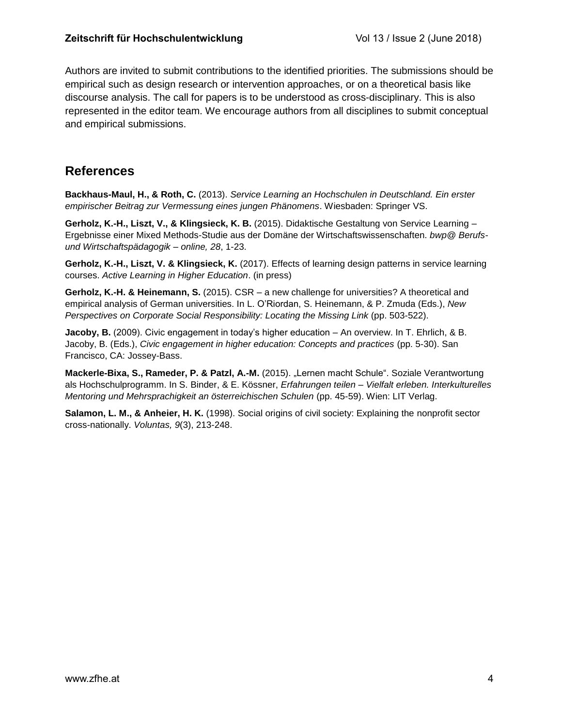Authors are invited to submit contributions to the identified priorities. The submissions should be empirical such as design research or intervention approaches, or on a theoretical basis like discourse analysis. The call for papers is to be understood as cross-disciplinary. This is also represented in the editor team. We encourage authors from all disciplines to submit conceptual and empirical submissions.

## **References**

**Backhaus-Maul, H., & Roth, C.** (2013). *Service Learning an Hochschulen in Deutschland. Ein erster empirischer Beitrag zur Vermessung eines jungen Phänomens*. Wiesbaden: Springer VS.

**Gerholz, K.-H., Liszt, V., & Klingsieck, K. B.** (2015). Didaktische Gestaltung von Service Learning – Ergebnisse einer Mixed Methods-Studie aus der Domäne der Wirtschaftswissenschaften. *bwp@ Berufsund Wirtschaftspädagogik – online, 28*, 1-23.

**Gerholz, K.-H., Liszt, V. & Klingsieck, K.** (2017). Effects of learning design patterns in service learning courses. *Active Learning in Higher Education*. (in press)

**Gerholz, K.-H. & Heinemann, S.** (2015). CSR – a new challenge for universities? A theoretical and empirical analysis of German universities. In L. O'Riordan, S. Heinemann, & P. Zmuda (Eds.), *New Perspectives on Corporate Social Responsibility: Locating the Missing Link* (pp. 503-522).

**Jacoby, B.** (2009). Civic engagement in today's higher education – An overview. In T. Ehrlich, & B. Jacoby, B. (Eds.), *Civic engagement in higher education: Concepts and practices* (pp. 5-30). San Francisco, CA: Jossey-Bass.

**Mackerle-Bixa, S., Rameder, P. & Patzl, A.-M.** (2015). "Lernen macht Schule". Soziale Verantwortung als Hochschulprogramm. In S. Binder, & E. Kössner, *Erfahrungen teilen – Vielfalt erleben. Interkulturelles Mentoring und Mehrsprachigkeit an österreichischen Schulen* (pp. 45-59). Wien: LIT Verlag.

**Salamon, L. M., & Anheier, H. K.** (1998). Social origins of civil society: Explaining the nonprofit sector cross-nationally. *Voluntas, 9*(3), 213-248.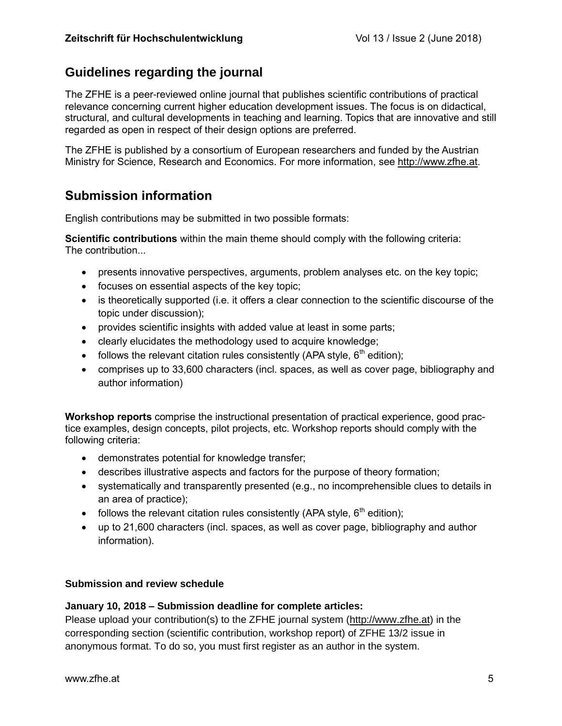## **Guidelines regarding the journal**

The ZFHE is a peer-reviewed online journal that publishes scientific contributions of practical relevance concerning current higher education development issues. The focus is on didactical, structural, and cultural developments in teaching and learning. Topics that are innovative and still regarded as open in respect of their design options are preferred.

The ZFHE is published by a consortium of European researchers and funded by the Austrian Ministry for Science, Research and Economics. For more information, see [http://www.zfhe.at.](http://www.zfhe.at/)

## **Submission information**

English contributions may be submitted in two possible formats:

**Scientific contributions** within the main theme should comply with the following criteria: The contribution...

- presents innovative perspectives, arguments, problem analyses etc. on the key topic;
- focuses on essential aspects of the key topic;
- is theoretically supported (i.e. it offers a clear connection to the scientific discourse of the topic under discussion);
- provides scientific insights with added value at least in some parts;
- clearly elucidates the methodology used to acquire knowledge;
- follows the relevant citation rules consistently (APA style,  $6<sup>th</sup>$  edition);
- comprises up to 33,600 characters (incl. spaces, as well as cover page, bibliography and author information)

**Workshop reports** comprise the instructional presentation of practical experience, good practice examples, design concepts, pilot projects, etc. Workshop reports should comply with the following criteria:

- demonstrates potential for knowledge transfer;
- describes illustrative aspects and factors for the purpose of theory formation;
- systematically and transparently presented (e.g., no incomprehensible clues to details in an area of practice);
- follows the relevant citation rules consistently (APA style,  $6<sup>th</sup>$  edition);
- up to 21,600 characters (incl. spaces, as well as cover page, bibliography and author information).

### **Submission and review schedule**

### **January 10, 2018 – Submission deadline for complete articles:**

Please upload your contribution(s) to the ZFHE journal system [\(http://www.zfhe.at\)](http://www.zfhe.at/) in the corresponding section (scientific contribution, workshop report) of ZFHE 13/2 issue in anonymous format. To do so, you must first register as an author in the system.